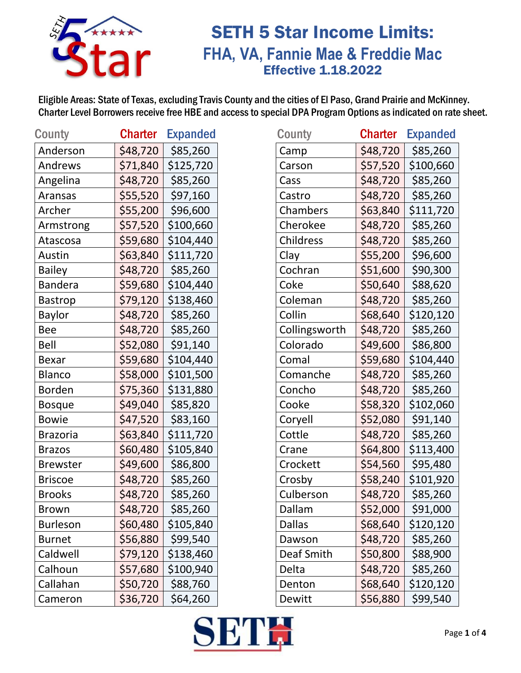

### SETH 5 Star Income Limits: **FHA, VA, Fannie Mae & Freddie Mac** Effective 1.18.2022

| County          | <b>Charter</b> | <b>Expanded</b> |
|-----------------|----------------|-----------------|
| Anderson        | \$48,720       | \$85,260        |
| Andrews         | \$71,840       | \$125,720       |
| Angelina        | \$48,720       | \$85,260        |
| Aransas         | \$55,520       | \$97,160        |
| Archer          | \$55,200       | \$96,600        |
| Armstrong       | \$57,520       | \$100,660       |
| Atascosa        | \$59,680       | \$104,440       |
| Austin          | \$63,840       | \$111,720       |
| <b>Bailey</b>   | \$48,720       | \$85,260        |
| <b>Bandera</b>  | \$59,680       | \$104,440       |
| <b>Bastrop</b>  | \$79,120       | \$138,460       |
| Baylor          | \$48,720       | \$85,260        |
| Bee             | \$48,720       | \$85,260        |
| Bell            | \$52,080       | \$91,140        |
| Bexar           | \$59,680       | \$104,440       |
| <b>Blanco</b>   | \$58,000       | \$101,500       |
| Borden          | \$75,360       | \$131,880       |
| <b>Bosque</b>   | \$49,040       | \$85,820        |
| Bowie           | \$47,520       | \$83,160        |
| <b>Brazoria</b> | \$63,840       | \$111,720       |
| <b>Brazos</b>   | \$60,480       | \$105,840       |
| <b>Brewster</b> | \$49,600       | \$86,800        |
| <b>Briscoe</b>  | \$48,720       | \$85,260        |
| <b>Brooks</b>   | \$48,720       | \$85,260        |
| Brown           | \$48,720       | \$85,260        |
| <b>Burleson</b> | \$60,480       | \$105,840       |
| <b>Burnet</b>   | \$56,880       | \$99,540        |
| Caldwell        | \$79,120       | \$138,460       |
| Calhoun         | \$57,680       | \$100,940       |
| Callahan        | \$50,720       | \$88,760        |
| Cameron         | \$36,720       | \$64,260        |

| <b>County</b>   | <b>Charter</b> | <b>Expanded</b> | <b>County</b> | <b>Charter</b> | <b>Expanded</b> |
|-----------------|----------------|-----------------|---------------|----------------|-----------------|
| Anderson        | \$48,720       | \$85,260        | Camp          | \$48,720       | \$85,260        |
| Andrews         | \$71,840       | \$125,720       | Carson        | \$57,520       | \$100,660       |
| Angelina        | \$48,720       | \$85,260        | Cass          | \$48,720       | \$85,260        |
| Aransas         | \$55,520       | \$97,160        | Castro        | \$48,720       | \$85,260        |
| Archer          | \$55,200       | \$96,600        | Chambers      | \$63,840       | \$111,720       |
| Armstrong       | \$57,520       | \$100,660       | Cherokee      | \$48,720       | \$85,260        |
| Atascosa        | \$59,680       | \$104,440       | Childress     | \$48,720       | \$85,260        |
| Austin          | \$63,840       | \$111,720       | Clay          | \$55,200       | \$96,600        |
| <b>Bailey</b>   | \$48,720       | \$85,260        | Cochran       | \$51,600       | \$90,300        |
| <b>Bandera</b>  | \$59,680       | \$104,440       | Coke          | \$50,640       | \$88,620        |
| <b>Bastrop</b>  | \$79,120       | \$138,460       | Coleman       | \$48,720       | \$85,260        |
| <b>Baylor</b>   | \$48,720       | \$85,260        | Collin        | \$68,640       | \$120,120       |
| <b>Bee</b>      | \$48,720       | \$85,260        | Collingsworth | \$48,720       | \$85,260        |
| Bell            | \$52,080       | \$91,140        | Colorado      | \$49,600       | \$86,800        |
| <b>Bexar</b>    | \$59,680       | \$104,440       | Comal         | \$59,680       | \$104,440       |
| Blanco          | \$58,000       | \$101,500       | Comanche      | \$48,720       | \$85,260        |
| <b>Borden</b>   | \$75,360       | \$131,880       | Concho        | \$48,720       | \$85,260        |
| <b>Bosque</b>   | \$49,040       | \$85,820        | Cooke         | \$58,320       | \$102,060       |
| <b>Bowie</b>    | \$47,520       | \$83,160        | Coryell       | \$52,080       | \$91,140        |
| <b>Brazoria</b> | \$63,840       | \$111,720       | Cottle        | \$48,720       | \$85,260        |
| <b>Brazos</b>   | \$60,480       | \$105,840       | Crane         | \$64,800       | \$113,400       |
| <b>Brewster</b> | \$49,600       | \$86,800        | Crockett      | \$54,560       | \$95,480        |
| <b>Briscoe</b>  | \$48,720       | \$85,260        | Crosby        | \$58,240       | \$101,920       |
| <b>Brooks</b>   | \$48,720       | \$85,260        | Culberson     | \$48,720       | \$85,260        |
| Brown           | \$48,720       | \$85,260        | Dallam        | \$52,000       | \$91,000        |
| <b>Burleson</b> | \$60,480       | \$105,840       | <b>Dallas</b> | \$68,640       | \$120,120       |
| <b>Burnet</b>   | \$56,880       | \$99,540        | Dawson        | \$48,720       | \$85,260        |
| Caldwell        | \$79,120       | \$138,460       | Deaf Smith    | \$50,800       | \$88,900        |
| Calhoun         | \$57,680       | \$100,940       | Delta         | \$48,720       | \$85,260        |
| Callahan        | \$50,720       | \$88,760        | Denton        | \$68,640       | \$120,120       |
| Cameron         | \$36,720       | \$64,260        | Dewitt        | \$56,880       | \$99,540        |

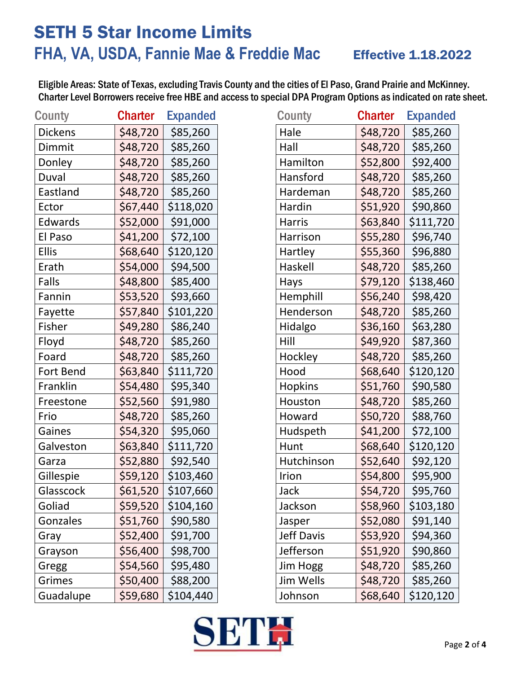# SETH 5 Star Income Limits **FHA, VA, USDA, Fannie Mae & Freddie Mac** Effective 1.18.2022

| <b>County</b>  | <b>Charter</b> | <b>Expanded</b> |
|----------------|----------------|-----------------|
| <b>Dickens</b> | \$48,720       | \$85,260        |
| Dimmit         | \$48,720       | \$85,260        |
| Donley         | \$48,720       | \$85,260        |
| Duval          | \$48,720       | \$85,260        |
| Eastland       | \$48,720       | \$85,260        |
| Ector          | \$67,440       | \$118,020       |
| Edwards        | \$52,000       | \$91,000        |
| El Paso        | \$41,200       | \$72,100        |
| <b>Ellis</b>   | \$68,640       | \$120,120       |
| Erath          | \$54,000       | \$94,500        |
| Falls          | \$48,800       | \$85,400        |
| Fannin         | \$53,520       | \$93,660        |
| Fayette        | \$57,840       | \$101,220       |
| Fisher         | \$49,280       | \$86,240        |
| Floyd          | \$48,720       | \$85,260        |
| Foard          | \$48,720       | \$85,260        |
| Fort Bend      | \$63,840       | \$111,720       |
| Franklin       | \$54,480       | \$95,340        |
| Freestone      | \$52,560       | \$91,980        |
| Frio           | \$48,720       | \$85,260        |
| Gaines         | \$54,320       | \$95,060        |
| Galveston      | \$63,840       | \$111,720       |
| Garza          | \$52,880       | \$92,540        |
| Gillespie      | \$59,120       | \$103,460       |
| Glasscock      | \$61,520       | \$107,660       |
| Goliad         | \$59,520       | \$104,160       |
| Gonzales       | \$51,760       | \$90,580        |
| Gray           | \$52,400       | \$91,700        |
| Grayson        | \$56,400       | \$98,700        |
| Gregg          | \$54,560       | \$95,480        |
| Grimes         | \$50,400       | \$88,200        |
| Guadalupe      | \$59,680       | \$104,440       |

| County         | <b>Charter</b> | <b>Expanded</b> | County         | <b>Charter</b> | <b>Expanded</b> |
|----------------|----------------|-----------------|----------------|----------------|-----------------|
| <b>Dickens</b> | \$48,720       | \$85,260        | Hale           | \$48,720       | \$85,260        |
| Dimmit         | \$48,720       | \$85,260        | Hall           | \$48,720       | \$85,260        |
| Donley         | \$48,720       | \$85,260        | Hamilton       | \$52,800       | \$92,400        |
| Duval          | \$48,720       | \$85,260        | Hansford       | \$48,720       | \$85,260        |
| Eastland       | \$48,720       | \$85,260        | Hardeman       | \$48,720       | \$85,260        |
| Ector          | \$67,440       | \$118,020       | Hardin         | \$51,920       | \$90,860        |
| Edwards        | \$52,000       | \$91,000        | <b>Harris</b>  | \$63,840       | \$111,720       |
| El Paso        | \$41,200       | \$72,100        | Harrison       | \$55,280       | \$96,740        |
| <b>Ellis</b>   | \$68,640       | \$120,120       | Hartley        | \$55,360       | \$96,880        |
| Erath          | \$54,000       | \$94,500        | Haskell        | \$48,720       | \$85,260        |
| Falls          | \$48,800       | \$85,400        | Hays           | \$79,120       | \$138,460       |
| Fannin         | \$53,520       | \$93,660        | Hemphill       | \$56,240       | \$98,420        |
| Fayette        | \$57,840       | \$101,220       | Henderson      | \$48,720       | \$85,260        |
| Fisher         | \$49,280       | \$86,240        | Hidalgo        | \$36,160       | \$63,280        |
| Floyd          | \$48,720       | \$85,260        | Hill           | \$49,920       | \$87,360        |
| Foard          | \$48,720       | \$85,260        | Hockley        | \$48,720       | \$85,260        |
| Fort Bend      | \$63,840       | \$111,720       | Hood           | \$68,640       | \$120,120       |
| Franklin       | \$54,480       | \$95,340        | <b>Hopkins</b> | \$51,760       | \$90,580        |
| Freestone      | \$52,560       | \$91,980        | Houston        | \$48,720       | \$85,260        |
| Frio           | \$48,720       | \$85,260        | Howard         | \$50,720       | \$88,760        |
| Gaines         | \$54,320       | \$95,060        | Hudspeth       | \$41,200       | \$72,100        |
| Galveston      | \$63,840       | \$111,720       | Hunt           | \$68,640       | \$120,120       |
| Garza          | \$52,880       | \$92,540        | Hutchinson     | \$52,640       | \$92,120        |
| Gillespie      | \$59,120       | \$103,460       | Irion          | \$54,800       | \$95,900        |
| Glasscock      | \$61,520       | \$107,660       | Jack           | \$54,720       | \$95,760        |
| Goliad         | \$59,520       | \$104,160       | Jackson        | \$58,960       | \$103,180       |
| Gonzales       | \$51,760       | \$90,580        | Jasper         | \$52,080       | \$91,140        |
| Gray           | \$52,400       | \$91,700        | Jeff Davis     | \$53,920       | \$94,360        |
| Grayson        | \$56,400       | \$98,700        | Jefferson      | \$51,920       | \$90,860        |
| Gregg          | \$54,560       | \$95,480        | Jim Hogg       | \$48,720       | \$85,260        |
| Grimes         | \$50,400       | \$88,200        | Jim Wells      | \$48,720       | \$85,260        |
| Guadalupe      | \$59,680       | \$104,440       | Johnson        | \$68,640       | \$120,120       |

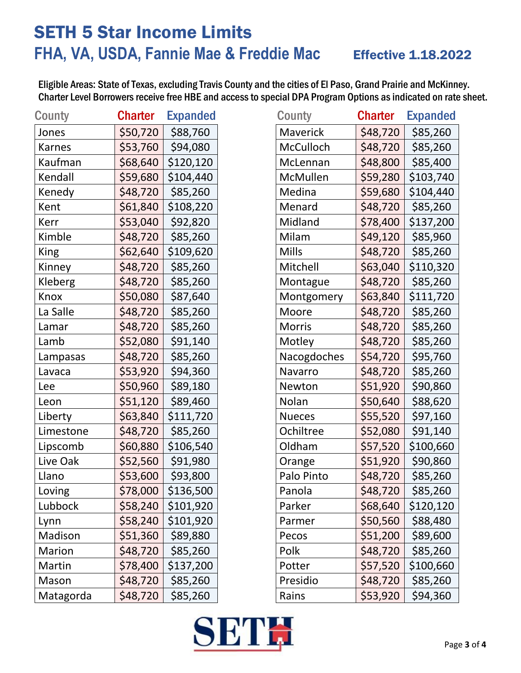# SETH 5 Star Income Limits FHA, VA, USDA, Fannie Mae & Freddie Mac Effective 1.18.2022

| <b>County</b> | <b>Charter</b> | <b>Expanded</b> |
|---------------|----------------|-----------------|
| Jones         | \$50,720       | \$88,760        |
| Karnes        | \$53,760       | \$94,080        |
| Kaufman       | \$68,640       | \$120,120       |
| Kendall       | \$59,680       | \$104,440       |
| Kenedy        | \$48,720       | \$85,260        |
| Kent          | \$61,840       | \$108,220       |
| Kerr          | \$53,040       | \$92,820        |
| Kimble        | \$48,720       | \$85,260        |
| King          | \$62,640       | \$109,620       |
| Kinney        | \$48,720       | \$85,260        |
| Kleberg       | \$48,720       | \$85,260        |
| Knox          | \$50,080       | \$87,640        |
| La Salle      | \$48,720       | \$85,260        |
| Lamar         | \$48,720       | \$85,260        |
| Lamb          | \$52,080       | \$91,140        |
| Lampasas      | \$48,720       | \$85,260        |
| Lavaca        | \$53,920       | \$94,360        |
| Lee           | \$50,960       | \$89,180        |
| Leon          | \$51,120       | \$89,460        |
| Liberty       | \$63,840       | \$111,720       |
| Limestone     | \$48,720       | \$85,260        |
| Lipscomb      | \$60,880       | \$106,540       |
| Live Oak      | \$52,560       | \$91,980        |
| Llano         | \$53,600       | \$93,800        |
| Loving        | \$78,000       | \$136,500       |
| Lubbock       | \$58,240       | \$101,920       |
| Lynn          | \$58,240       | \$101,920       |
| Madison       | \$51,360       | \$89,880        |
| Marion        | \$48,720       | \$85,260        |
| Martin        | \$78,400       | \$137,200       |
| Mason         | \$48,720       | \$85,260        |
| Matagorda     | \$48,720       | \$85,260        |

| <b>County</b> | <b>Charter</b> | <b>Expanded</b> | County        | <b>Charter</b> | <b>Expanded</b> |
|---------------|----------------|-----------------|---------------|----------------|-----------------|
| Jones         | \$50,720       | \$88,760        | Maverick      | \$48,720       | \$85,260        |
| <b>Karnes</b> | \$53,760       | \$94,080        | McCulloch     | \$48,720       | \$85,260        |
| Kaufman       | \$68,640       | \$120,120       | McLennan      | \$48,800       | \$85,400        |
| Kendall       | \$59,680       | \$104,440       | McMullen      | \$59,280       | \$103,740       |
| Kenedy        | \$48,720       | \$85,260        | Medina        | \$59,680       | \$104,440       |
| Kent          | \$61,840       | \$108,220       | Menard        | \$48,720       | \$85,260        |
| Kerr          | \$53,040       | \$92,820        | Midland       | \$78,400       | \$137,200       |
| Kimble        | \$48,720       | \$85,260        | Milam         | \$49,120       | \$85,960        |
| King          | \$62,640       | \$109,620       | <b>Mills</b>  | \$48,720       | \$85,260        |
| Kinney        | \$48,720       | \$85,260        | Mitchell      | \$63,040       | \$110,320       |
| Kleberg       | \$48,720       | \$85,260        | Montague      | \$48,720       | \$85,260        |
| Knox          | \$50,080       | \$87,640        | Montgomery    | \$63,840       | \$111,720       |
| La Salle      | \$48,720       | \$85,260        | Moore         | \$48,720       | \$85,260        |
| Lamar         | \$48,720       | \$85,260        | <b>Morris</b> | \$48,720       | \$85,260        |
| Lamb          | \$52,080       | \$91,140        | Motley        | \$48,720       | \$85,260        |
| Lampasas      | \$48,720       | \$85,260        | Nacogdoches   | \$54,720       | \$95,760        |
| Lavaca        | \$53,920       | \$94,360        | Navarro       | \$48,720       | \$85,260        |
| Lee           | \$50,960       | \$89,180        | Newton        | \$51,920       | \$90,860        |
| Leon          | \$51,120       | \$89,460        | Nolan         | \$50,640       | \$88,620        |
| Liberty       | \$63,840       | \$111,720       | <b>Nueces</b> | \$55,520       | \$97,160        |
| Limestone     | \$48,720       | \$85,260        | Ochiltree     | \$52,080       | \$91,140        |
| Lipscomb      | \$60,880       | \$106,540       | Oldham        | \$57,520       | \$100,660       |
| Live Oak      | \$52,560       | \$91,980        | Orange        | \$51,920       | \$90,860        |
| Llano         | \$53,600       | \$93,800        | Palo Pinto    | \$48,720       | \$85,260        |
| Loving        | \$78,000       | \$136,500       | Panola        | \$48,720       | \$85,260        |
| Lubbock       | \$58,240       | \$101,920       | Parker        | \$68,640       | \$120,120       |
| Lynn          | \$58,240       | \$101,920       | Parmer        | \$50,560       | \$88,480        |
| Madison       | \$51,360       | \$89,880        | Pecos         | \$51,200       | \$89,600        |
| Marion        | \$48,720       | \$85,260        | Polk          | \$48,720       | \$85,260        |
| Martin        | \$78,400       | \$137,200       | Potter        | \$57,520       | \$100,660       |
| Mason         | \$48,720       | \$85,260        | Presidio      | \$48,720       | \$85,260        |
| Matagorda     | \$48,720       | \$85,260        | Rains         | \$53,920       | \$94,360        |